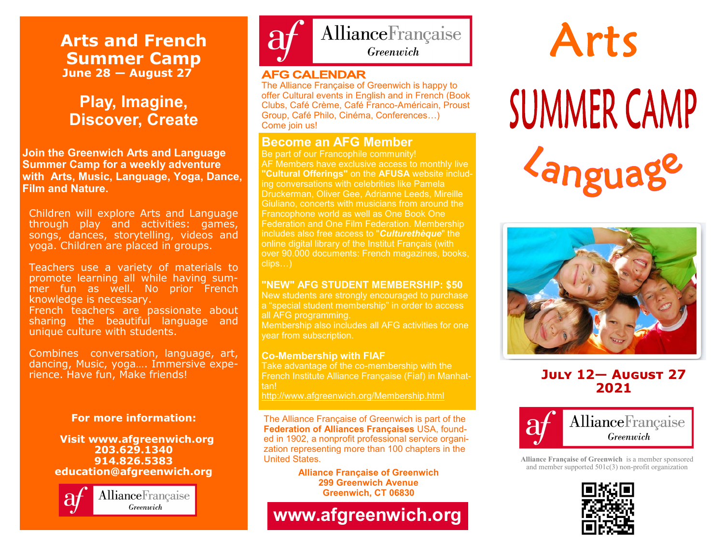## **Arts and French Summer Camp June 28 — August 27**

# **Play, Imagine, Discover, Create**

**Join the Greenwich Arts and Language Summer Camp for a weekly adventure with Arts, Music, Language, Yoga, Dance, Film and Nature.**

Children will explore Arts and Language through play and activities: games, songs, dances, storytelling, videos and yoga. Children are placed in groups.

Teachers use a variety of materials to promote learning all while having summer fun as well. No prior French knowledge is necessary. French teachers are passionate about sharing the beautiful language and unique culture with students.

Combines conversation, language, art, dancing, Music, yoga…. Immersive experience. Have fun, Make friends!

#### **For more information:**

#### **Visit www.afgreenwich.org 203.629.1340 914.826.5383 education@afgreenwich.org**





#### **AFG CALENDAR**

The Alliance Française of Greenwich is happy to offer Cultural events in English and in French (Book Clubs, Café Crème, Café Franco-Américain, Proust Group, Café Philo, Cinéma, Conferences…) Come join us!

### **Become an AFG Member**

Be part of our Francophile community! AF Members have exclusive access to monthly live **"Cultural Offerings"** on the **AFUSA** website including conversations with celebrities like Pamela Druckerman, Oliver Gee, Adrianne Leeds, Mireille Giuliano, concerts with musicians from around the Francophone world as well as One Book One includes also free access to "*Culturethèque*" the online digital library of the Institut Français (with over 90.000 documents: French magazines, books, clips…)

#### **"NEW" AFG STUDENT MEMBERSHIP: \$50**

New students are strongly encouraged to purchase a "special student membership" in order to access

Membership also includes all AFG activities for one year from subscription.

#### **Co-Membership with FIAF**

Take advantage of the co-membership with the French Institute Alliance Française (Fiaf) in Manhat-

<http://www.afgreenwich.org/Membership.html>

The Alliance Française of Greenwich is part of the **Federation of Alliances Françaises** USA, founded in 1902, a nonprofit professional service organization representing more than 100 chapters in the United States.

> **Alliance Française of Greenwich 299 Greenwich Avenue Greenwich, CT 06830**

**www.afgreenwich.org** 

# Arts **SUMMER CAMP** *<u>Languag</u>*



## **July 12— August 27 2021**



**Alliance Française of Greenwich** is a member sponsored and member supported 501c(3) non-profit organization